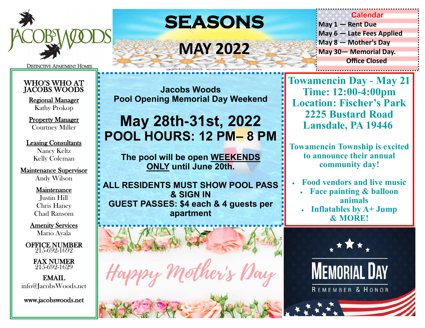

**DISTINCTIVE APARTMENT HOMES** 

### WHO'S WHO AT JACOBS WOODS

Regional Manager Kathy Prokop

Property Manager Courtney Miller

### Leasing Consultants Nancy Keltz Kelly Coleman

### Maintenance Supervisor Andy Wilson

#### Maintenance Justin Hill

Chris Haney Chad Ransom

Amenity Services Mario Ayala

OFFICE NUMBER 215-692-1692

> FAX NUMER 215-692-1629

EMAIL info@JacobsWoods.net

www.jacobswoods.net

# **SEASONS**

## **MAY 2022**

**Jacobs Woods Pool Opening Memorial Day Weekend** 

## **May 28th-31st, 2022 POOL HOURS: 12 PM– 8 PM**

**The pool will be open WEEKENDS ONLY until June 20th.** 

**ALL RESIDENTS MUST SHOW POOL PASS & SIGN IN GUEST PASSES: \$4 each & 4 guests per apartment**



**May 6 — Late Fees Applied May 8 — Mother's Day May 30— Memorial Day. Office Closed** 

**Calendar**

**Towamencin Day - May 21 Time: 12:00-4:00pm Location: Fischer's Park 2225 Bustard Road Lansdale, PA 19446**

**May 1 — Rent Due** 

**Towamencin Township is excited to announce their annual community day!** 

- **Food vendors and live music**
	- **Face painting & balloon animals**
	- **Inflatables by A+ Jump & MORE!**